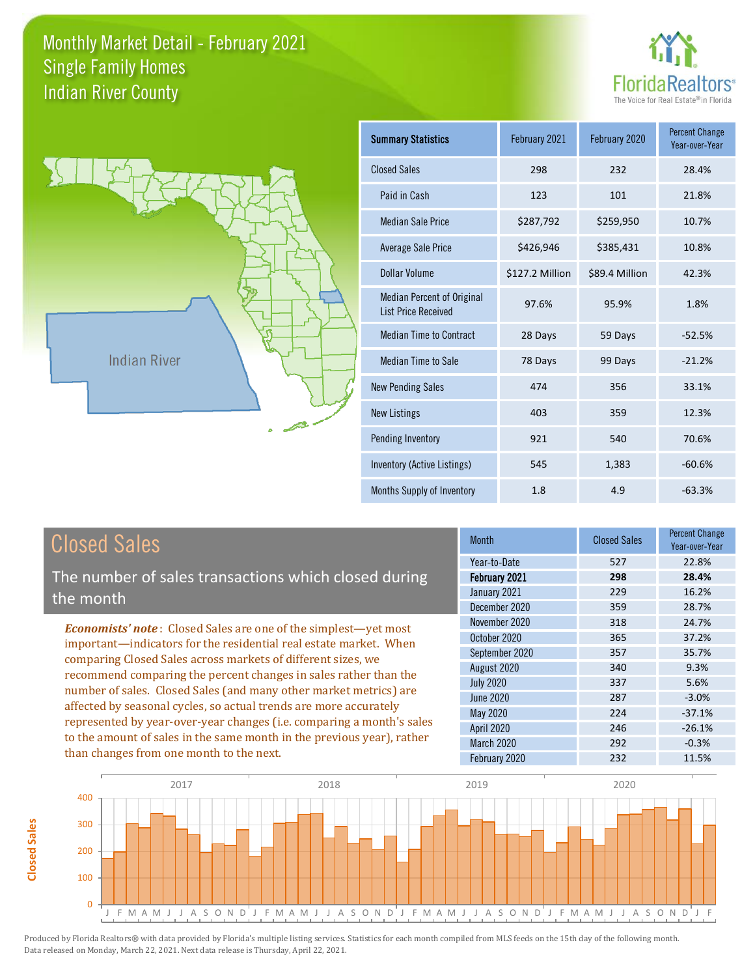



**Closed Sales**

**Closed Sales** 

| <b>Summary Statistics</b>                                       | February 2021   | February 2020  | <b>Percent Change</b><br>Year-over-Year |
|-----------------------------------------------------------------|-----------------|----------------|-----------------------------------------|
| <b>Closed Sales</b>                                             | 298             | 232            | 28.4%                                   |
| Paid in Cash                                                    | 123             | 101            | 21.8%                                   |
| <b>Median Sale Price</b>                                        | \$287,792       | \$259,950      | 10.7%                                   |
| Average Sale Price                                              | \$426,946       | \$385,431      | 10.8%                                   |
| Dollar Volume                                                   | \$127.2 Million | \$89.4 Million | 42.3%                                   |
| <b>Median Percent of Original</b><br><b>List Price Received</b> | 97.6%           | 95.9%          | 1.8%                                    |
| <b>Median Time to Contract</b>                                  | 28 Days         | 59 Days        | $-52.5%$                                |
| Median Time to Sale                                             | 78 Days         | 99 Days        | $-21.2%$                                |
| <b>New Pending Sales</b>                                        | 474             | 356            | 33.1%                                   |
| <b>New Listings</b>                                             | 403             | 359            | 12.3%                                   |
| Pending Inventory                                               | 921             | 540            | 70.6%                                   |
| Inventory (Active Listings)                                     | 545             | 1,383          | $-60.6%$                                |
| Months Supply of Inventory                                      | 1.8             | 4.9            | $-63.3%$                                |

| <b>Closed Sales</b>                                                    | <b>Month</b>      | <b>Closed Sales</b> | <b>Percent Change</b><br>Year-over-Year |
|------------------------------------------------------------------------|-------------------|---------------------|-----------------------------------------|
|                                                                        | Year-to-Date      | 527                 | 22.8%                                   |
| The number of sales transactions which closed during                   | February 2021     | 298                 | 28.4%                                   |
| the month                                                              | January 2021      | 229                 | 16.2%                                   |
|                                                                        | December 2020     | 359                 | 28.7%                                   |
| <b>Economists' note:</b> Closed Sales are one of the simplest—yet most | November 2020     | 318                 | 24.7%                                   |
| important—indicators for the residential real estate market. When      | October 2020      | 365                 | 37.2%                                   |
| comparing Closed Sales across markets of different sizes, we           | September 2020    | 357                 | 35.7%                                   |
| recommend comparing the percent changes in sales rather than the       | August 2020       | 340                 | 9.3%                                    |
| number of sales. Closed Sales (and many other market metrics) are      | <b>July 2020</b>  | 337                 | 5.6%                                    |
| affected by seasonal cycles, so actual trends are more accurately      | June 2020         | 287                 | $-3.0%$                                 |
| represented by year-over-year changes (i.e. comparing a month's sales  | May 2020          | 224                 | $-37.1%$                                |
|                                                                        | <b>April 2020</b> | 246                 | $-26.1%$                                |
| to the amount of sales in the same month in the previous year), rather | <b>March 2020</b> | 292                 | $-0.3%$                                 |
| than changes from one month to the next.                               | February 2020     | 232                 | 11.5%                                   |

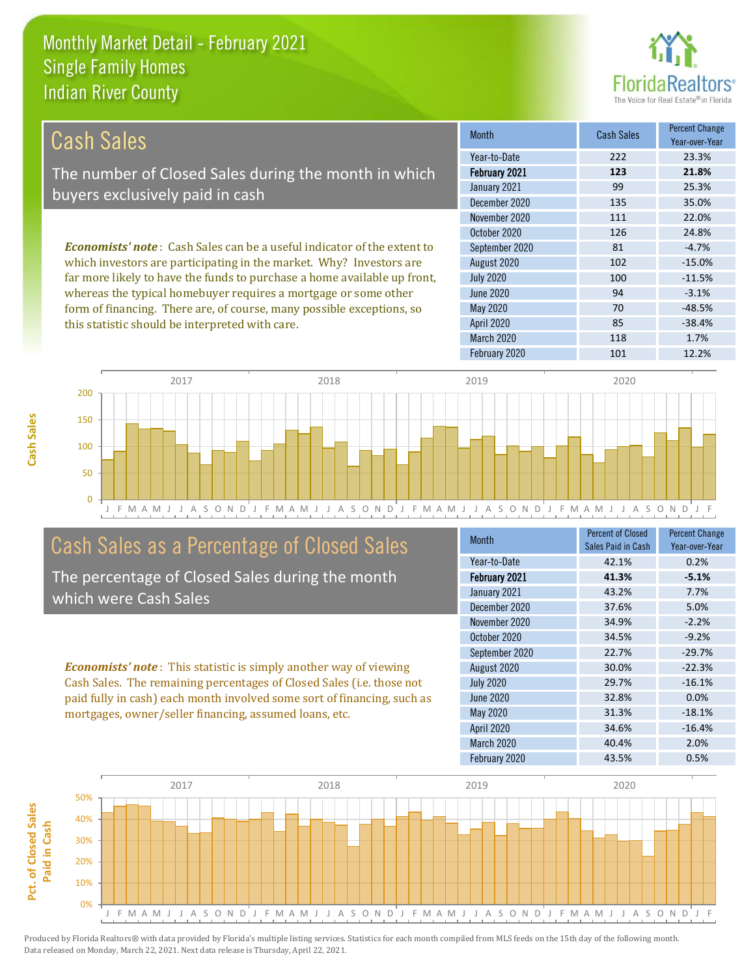this statistic should be interpreted with care.



85 -38.4%

| Cash Sales                                                                      | <b>Month</b>     | <b>Cash Sales</b> | <b>Percent Change</b><br>Year-over-Year |
|---------------------------------------------------------------------------------|------------------|-------------------|-----------------------------------------|
|                                                                                 | Year-to-Date     | 222               | 23.3%                                   |
| The number of Closed Sales during the month in which                            | February 2021    | 123               | 21.8%                                   |
| buyers exclusively paid in cash                                                 | January 2021     | 99                | 25.3%                                   |
|                                                                                 | December 2020    | 135               | 35.0%                                   |
|                                                                                 | November 2020    | 111               | 22.0%                                   |
|                                                                                 | October 2020     | 126               | 24.8%                                   |
| <b>Economists' note</b> : Cash Sales can be a useful indicator of the extent to | September 2020   | 81                | $-4.7%$                                 |
| which investors are participating in the market. Why? Investors are             | August 2020      | 102               | $-15.0%$                                |
| far more likely to have the funds to purchase a home available up front,        | <b>July 2020</b> | 100               | $-11.5%$                                |
| whereas the typical homebuyer requires a mortgage or some other                 | June 2020        | 94                | $-3.1%$                                 |
| form of financing. There are, of course, many possible exceptions, so           | May 2020         | 70                | $-48.5%$                                |



# Cash Sales as a Percentage of Closed Sales

The percentage of Closed Sales during the month which were Cash Sales

*Economists' note* : This statistic is simply another way of viewing Cash Sales. The remaining percentages of Closed Sales (i.e. those not paid fully in cash) each month involved some sort of financing, such as mortgages, owner/seller financing, assumed loans, etc.

| <b>Month</b>      | <b>Percent of Closed</b><br>Sales Paid in Cash | <b>Percent Change</b><br>Year-over-Year |
|-------------------|------------------------------------------------|-----------------------------------------|
| Year-to-Date      | 42.1%                                          | 0.2%                                    |
| February 2021     | 41.3%                                          | $-5.1%$                                 |
| January 2021      | 43.2%                                          | 7.7%                                    |
| December 2020     | 37.6%                                          | 5.0%                                    |
| November 2020     | 34.9%                                          | $-2.2%$                                 |
| October 2020      | 34.5%                                          | $-9.2%$                                 |
| September 2020    | 22.7%                                          | $-29.7%$                                |
| August 2020       | 30.0%                                          | $-22.3%$                                |
| <b>July 2020</b>  | 29.7%                                          | $-16.1%$                                |
| June 2020         | 32.8%                                          | 0.0%                                    |
| <b>May 2020</b>   | 31.3%                                          | $-18.1%$                                |
| <b>April 2020</b> | 34.6%                                          | $-16.4%$                                |
| March 2020        | 40.4%                                          | 2.0%                                    |
| February 2020     | 43.5%                                          | 0.5%                                    |

February 2020 101 12.2%

March 2020 118 118 1.7%

April 2020

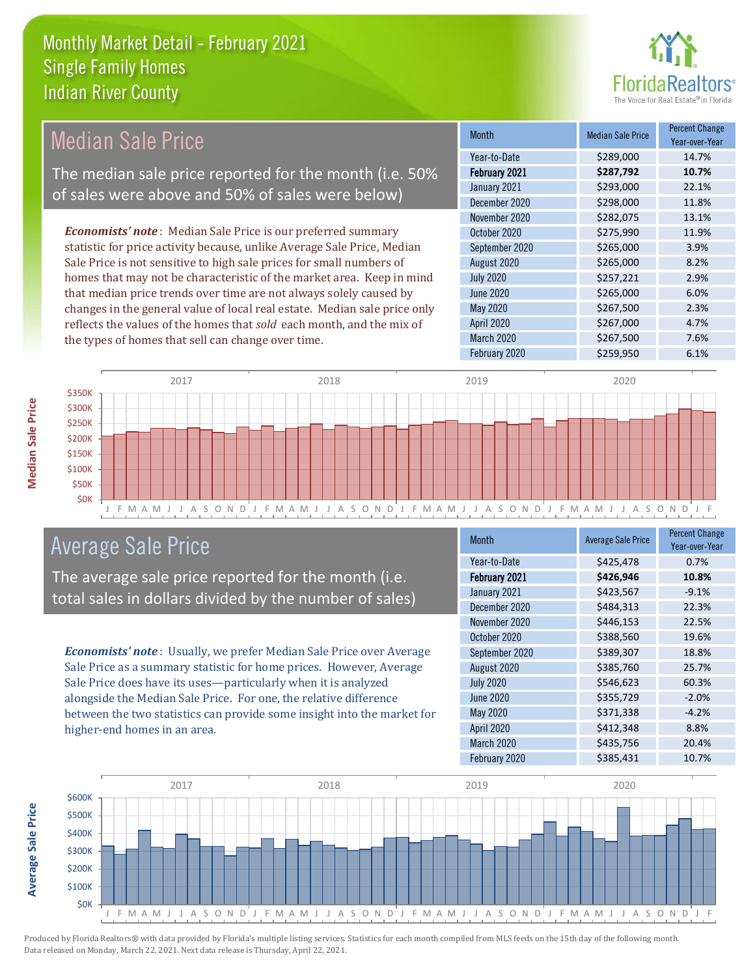

#### *Economists' note* : Median Sale Price is our preferred summary statistic for price activity because, unlike Average Sale Price, Median Sale Price is not sensitive to high sale prices for small numbers of homes that may not be characteristic of the market area. Keep in mind that median price trends over time are not always solely caused by changes in the general value of local real estate. Median sale price only Median Sale Price The median sale price reported for the month (i.e. 50% of sales were above and 50% of sales were below)

| <b>Month</b>     | <b>Median Sale Price</b> | <b>Percent Change</b><br>Year-over-Year |
|------------------|--------------------------|-----------------------------------------|
| Year-to-Date     | \$289,000                | 14.7%                                   |
| February 2021    | \$287,792                | 10.7%                                   |
| January 2021     | \$293,000                | 22.1%                                   |
| December 2020    | \$298,000                | 11.8%                                   |
| November 2020    | \$282,075                | 13.1%                                   |
| October 2020     | \$275,990                | 11.9%                                   |
| September 2020   | \$265,000                | 3.9%                                    |
| August 2020      | \$265,000                | 8.2%                                    |
| <b>July 2020</b> | \$257,221                | 2.9%                                    |
| <b>June 2020</b> | \$265,000                | 6.0%                                    |
| May 2020         | \$267,500                | 2.3%                                    |
| April 2020       | \$267,000                | 4.7%                                    |
| March 2020       | \$267,500                | 7.6%                                    |
| February 2020    | \$259,950                | 6.1%                                    |



# Average Sale Price

The average sale price reported for the month (i.e. total sales in dollars divided by the number of sales)

reflects the values of the homes that *sold* each month, and the mix of

the types of homes that sell can change over time.

*Economists' note* : Usually, we prefer Median Sale Price over Average Sale Price as a summary statistic for home prices. However, Average Sale Price does have its uses—particularly when it is analyzed alongside the Median Sale Price. For one, the relative difference between the two statistics can provide some insight into the market for higher-end homes in an area.

| <b>Month</b>     | <b>Average Sale Price</b> | <b>Percent Change</b><br>Year-over-Year |
|------------------|---------------------------|-----------------------------------------|
| Year-to-Date     | \$425,478                 | 0.7%                                    |
| February 2021    | \$426,946                 | 10.8%                                   |
| January 2021     | \$423,567                 | $-9.1%$                                 |
| December 2020    | \$484,313                 | 22.3%                                   |
| November 2020    | \$446,153                 | 22.5%                                   |
| October 2020     | \$388,560                 | 19.6%                                   |
| September 2020   | \$389,307                 | 18.8%                                   |
| August 2020      | \$385,760                 | 25.7%                                   |
| <b>July 2020</b> | \$546,623                 | 60.3%                                   |
| <b>June 2020</b> | \$355,729                 | $-2.0%$                                 |
| May 2020         | \$371,338                 | $-4.2%$                                 |
| April 2020       | \$412,348                 | 8.8%                                    |
| March 2020       | \$435,756                 | 20.4%                                   |
| February 2020    | \$385,431                 | 10.7%                                   |



**Median Sale Price**

**Median Sale Price**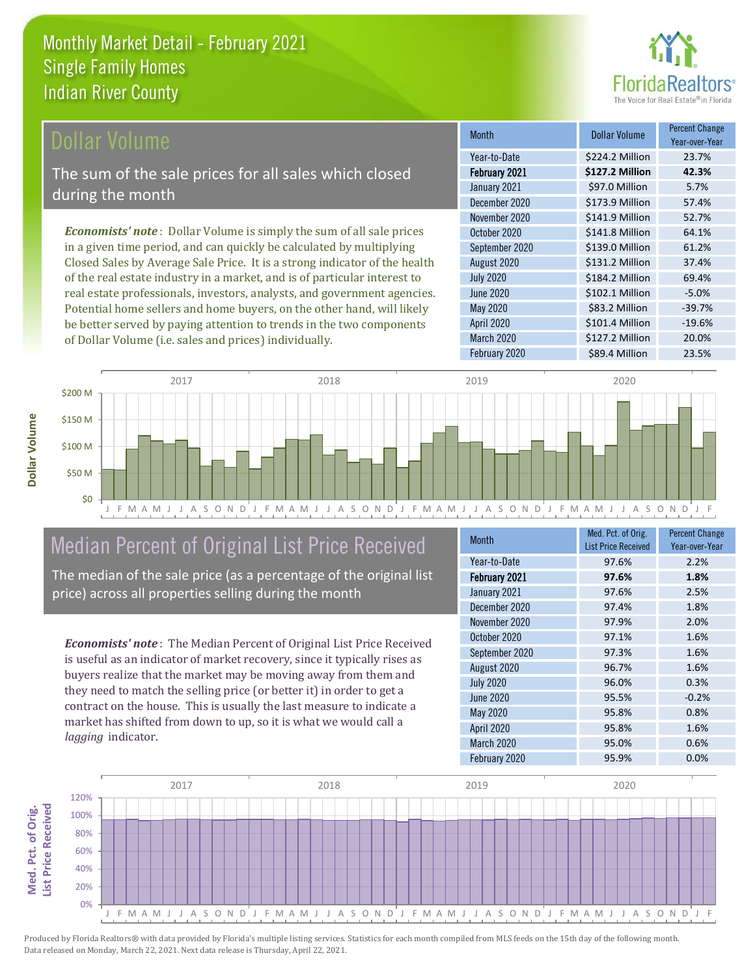

### Dollar Volume

The sum of the sale prices for all sales which closed during the month

*Economists' note* : Dollar Volume is simply the sum of all sale prices in a given time period, and can quickly be calculated by multiplying Closed Sales by Average Sale Price. It is a strong indicator of the health of the real estate industry in a market, and is of particular interest to real estate professionals, investors, analysts, and government agencies. Potential home sellers and home buyers, on the other hand, will likely be better served by paying attention to trends in the two components of Dollar Volume (i.e. sales and prices) individually.

| <b>Month</b>         | Dollar Volume   | <b>Percent Change</b><br>Year-over-Year |
|----------------------|-----------------|-----------------------------------------|
| Year-to-Date         | \$224.2 Million | 23.7%                                   |
| <b>February 2021</b> | \$127.2 Million | 42.3%                                   |
| January 2021         | \$97.0 Million  | 5.7%                                    |
| December 2020        | \$173.9 Million | 57.4%                                   |
| November 2020        | \$141.9 Million | 52.7%                                   |
| October 2020         | \$141.8 Million | 64.1%                                   |
| September 2020       | \$139.0 Million | 61.2%                                   |
| August 2020          | \$131.2 Million | 37.4%                                   |
| <b>July 2020</b>     | \$184.2 Million | 69.4%                                   |
| June 2020            | \$102.1 Million | $-5.0%$                                 |
| May 2020             | \$83.2 Million  | $-39.7%$                                |
| <b>April 2020</b>    | \$101.4 Million | $-19.6%$                                |
| March 2020           | \$127.2 Million | 20.0%                                   |
| February 2020        | \$89.4 Million  | 23.5%                                   |



# Median Percent of Original List Price Received

The median of the sale price (as a percentage of the original list price) across all properties selling during the month

*Economists' note* : The Median Percent of Original List Price Received is useful as an indicator of market recovery, since it typically rises as buyers realize that the market may be moving away from them and they need to match the selling price (or better it) in order to get a contract on the house. This is usually the last measure to indicate a market has shifted from down to up, so it is what we would call a *lagging* indicator.

| <b>Month</b>      | Med. Pct. of Orig.<br><b>List Price Received</b> | <b>Percent Change</b><br>Year-over-Year |
|-------------------|--------------------------------------------------|-----------------------------------------|
| Year-to-Date      | 97.6%                                            | 2.2%                                    |
| February 2021     | 97.6%                                            | 1.8%                                    |
| January 2021      | 97.6%                                            | 2.5%                                    |
| December 2020     | 97.4%                                            | 1.8%                                    |
| November 2020     | 97.9%                                            | 2.0%                                    |
| October 2020      | 97.1%                                            | 1.6%                                    |
| September 2020    | 97.3%                                            | 1.6%                                    |
| August 2020       | 96.7%                                            | 1.6%                                    |
| <b>July 2020</b>  | 96.0%                                            | 0.3%                                    |
| June 2020         | 95.5%                                            | $-0.2%$                                 |
| <b>May 2020</b>   | 95.8%                                            | 0.8%                                    |
| <b>April 2020</b> | 95.8%                                            | 1.6%                                    |
| March 2020        | 95.0%                                            | 0.6%                                    |
| February 2020     | 95.9%                                            | 0.0%                                    |

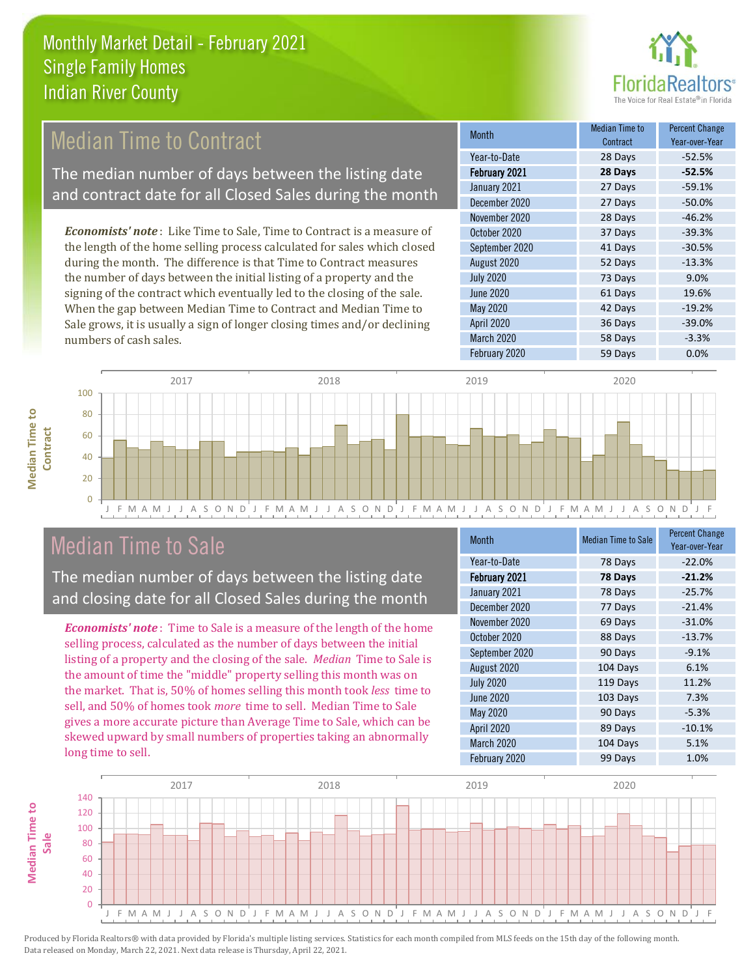

# **Median Time to Contract**

The median number of days between the listing date and contract date for all Closed Sales during the month

*Economists' note* : Like Time to Sale, Time to Contract is a measure of the length of the home selling process calculated for sales which closed during the month. The difference is that Time to Contract measures the number of days between the initial listing of a property and the signing of the contract which eventually led to the closing of the sale. When the gap between Median Time to Contract and Median Time to Sale grows, it is usually a sign of longer closing times and/or declining numbers of cash sales.

| <b>Month</b>     | Median Time to<br>Contract | <b>Percent Change</b><br>Year-over-Year |
|------------------|----------------------------|-----------------------------------------|
| Year-to-Date     | 28 Days                    | $-52.5%$                                |
| February 2021    | 28 Days                    | $-52.5%$                                |
| January 2021     | 27 Days                    | $-59.1%$                                |
| December 2020    | 27 Days                    | $-50.0%$                                |
| November 2020    | 28 Days                    | $-46.2%$                                |
| October 2020     | 37 Days                    | $-39.3%$                                |
| September 2020   | 41 Days                    | $-30.5%$                                |
| August 2020      | 52 Days                    | $-13.3%$                                |
| <b>July 2020</b> | 73 Days                    | 9.0%                                    |
| June 2020        | 61 Days                    | 19.6%                                   |
| <b>May 2020</b>  | 42 Days                    | $-19.2%$                                |
| April 2020       | 36 Days                    | $-39.0%$                                |
| March 2020       | 58 Days                    | $-3.3%$                                 |
| February 2020    | 59 Days                    | 0.0%                                    |



 $\Omega$ 



# Median Time to Sale

The median number of days between the listing date and closing date for all Closed Sales during the month

*Economists' note* : Time to Sale is a measure of the length of the home selling process, calculated as the number of days between the initial listing of a property and the closing of the sale. *Median* Time to Sale is the amount of time the "middle" property selling this month was on the market. That is, 50% of homes selling this month took *less* time to sell, and 50% of homes took *more* time to sell. Median Time to Sale gives a more accurate picture than Average Time to Sale, which can be skewed upward by small numbers of properties taking an abnormally long time to sell.

| <b>Month</b>     | <b>Median Time to Sale</b> | <b>Percent Change</b><br>Year-over-Year |
|------------------|----------------------------|-----------------------------------------|
| Year-to-Date     | 78 Days                    | $-22.0%$                                |
| February 2021    | 78 Days                    | $-21.2%$                                |
| January 2021     | 78 Days                    | $-25.7%$                                |
| December 2020    | 77 Days                    | $-21.4%$                                |
| November 2020    | 69 Days                    | $-31.0%$                                |
| October 2020     | 88 Days                    | $-13.7%$                                |
| September 2020   | 90 Days                    | $-9.1%$                                 |
| August 2020      | 104 Days                   | 6.1%                                    |
| <b>July 2020</b> | 119 Days                   | 11.2%                                   |
| <b>June 2020</b> | 103 Days                   | 7.3%                                    |
| <b>May 2020</b>  | 90 Days                    | $-5.3%$                                 |
| April 2020       | 89 Days                    | $-10.1%$                                |
| March 2020       | 104 Days                   | 5.1%                                    |
| February 2020    | 99 Days                    | 1.0%                                    |

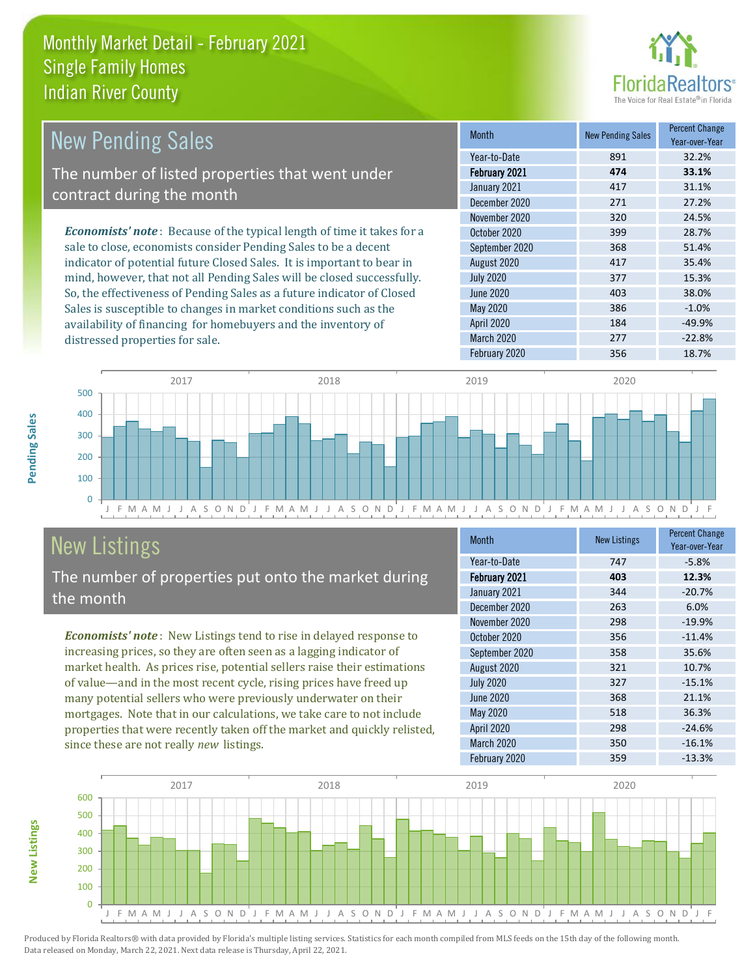

| <b>New Pending Sales</b>                                                       | <b>Month</b>     | <b>New Pending Sales</b> | <b>Percent Change</b><br>Year-over-Year |
|--------------------------------------------------------------------------------|------------------|--------------------------|-----------------------------------------|
|                                                                                | Year-to-Date     | 891                      | 32.2%                                   |
| The number of listed properties that went under                                | February 2021    | 474                      | 33.1%                                   |
| contract during the month                                                      | January 2021     | 417                      | 31.1%                                   |
|                                                                                | December 2020    | 271                      | 27.2%                                   |
|                                                                                | November 2020    | 320                      | 24.5%                                   |
| <b>Economists' note</b> : Because of the typical length of time it takes for a | October 2020     | 399                      | 28.7%                                   |
| sale to close, economists consider Pending Sales to be a decent                | September 2020   | 368                      | 51.4%                                   |
| indicator of potential future Closed Sales. It is important to bear in         | August 2020      | 417                      | 35.4%                                   |
| mind, however, that not all Pending Sales will be closed successfully.         | <b>July 2020</b> | 377                      | 15.3%                                   |
| So, the effectiveness of Pending Sales as a future indicator of Closed         | June 2020        | 403                      | 38.0%                                   |
| Sales is susceptible to changes in market conditions such as the               | May 2020         | 386                      | $-1.0%$                                 |

J F M A M J J A S O N D J F M A M J J A S O N D J F M A M J J A S O N D J F M A M J J A S O N D J F  $\overline{0}$ 100 200 300 400 500 2017 2018 2019 2020

# New Listings

distressed properties for sale.

The number of properties put onto the market during the month

availability of financing for homebuyers and the inventory of

*Economists' note* : New Listings tend to rise in delayed response to increasing prices, so they are often seen as a lagging indicator of market health. As prices rise, potential sellers raise their estimations of value—and in the most recent cycle, rising prices have freed up many potential sellers who were previously underwater on their mortgages. Note that in our calculations, we take care to not include properties that were recently taken off the market and quickly relisted, since these are not really *new* listings.

| <b>Month</b>      | <b>New Listings</b> | <b>Percent Change</b><br>Year-over-Year |
|-------------------|---------------------|-----------------------------------------|
| Year-to-Date      | 747                 | $-5.8%$                                 |
| February 2021     | 403                 | 12.3%                                   |
| January 2021      | 344                 | $-20.7%$                                |
| December 2020     | 263                 | 6.0%                                    |
| November 2020     | 298                 | $-19.9%$                                |
| October 2020      | 356                 | $-11.4%$                                |
| September 2020    | 358                 | 35.6%                                   |
| August 2020       | 321                 | 10.7%                                   |
| <b>July 2020</b>  | 327                 | $-15.1%$                                |
| June 2020         | 368                 | 21.1%                                   |
| May 2020          | 518                 | 36.3%                                   |
| <b>April 2020</b> | 298                 | $-24.6%$                                |
| March 2020        | 350                 | $-16.1%$                                |
| February 2020     | 359                 | $-13.3%$                                |

April 2020 184 184 -49.9% March 2020 277 -22.8% February 2020 356 356 18.7%



Pending Sales **Pending Sales**

**New Listings**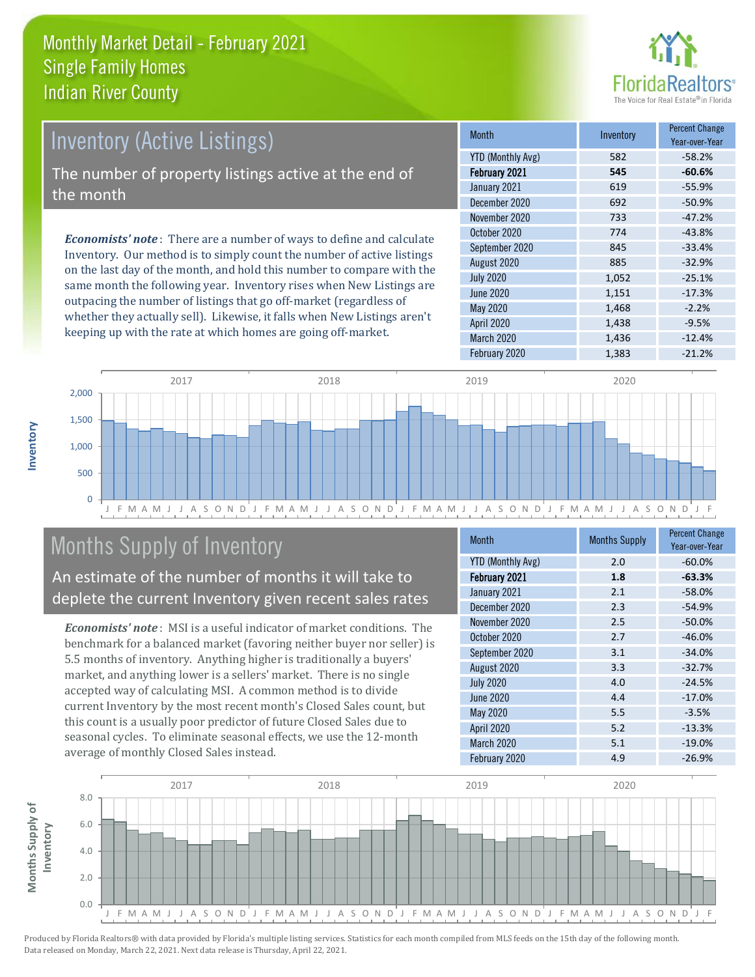

# Inventory (Active Listings)

The number of property listings active at the end of the month

*Economists' note* : There are a number of ways to define and calculate Inventory. Our method is to simply count the number of active listings on the last day of the month, and hold this number to compare with the same month the following year. Inventory rises when New Listings are outpacing the number of listings that go off-market (regardless of whether they actually sell). Likewise, it falls when New Listings aren't keeping up with the rate at which homes are going off-market.

| <b>Month</b>             | Inventory | <b>Percent Change</b><br>Year-over-Year |
|--------------------------|-----------|-----------------------------------------|
| <b>YTD (Monthly Avg)</b> | 582       | $-58.2%$                                |
| February 2021            | 545       | $-60.6%$                                |
| January 2021             | 619       | $-55.9%$                                |
| December 2020            | 692       | $-50.9%$                                |
| November 2020            | 733       | $-47.2%$                                |
| October 2020             | 774       | $-43.8%$                                |
| September 2020           | 845       | $-33.4%$                                |
| August 2020              | 885       | $-32.9%$                                |
| <b>July 2020</b>         | 1,052     | $-25.1%$                                |
| June 2020                | 1,151     | $-17.3%$                                |
| <b>May 2020</b>          | 1,468     | $-2.2%$                                 |
| <b>April 2020</b>        | 1,438     | $-9.5%$                                 |
| March 2020               | 1,436     | $-12.4%$                                |
| February 2020            | 1,383     | $-21.2%$                                |



# Months Supply of Inventory

An estimate of the number of months it will take to deplete the current Inventory given recent sales rates

*Economists' note* : MSI is a useful indicator of market conditions. The benchmark for a balanced market (favoring neither buyer nor seller) is 5.5 months of inventory. Anything higher is traditionally a buyers' market, and anything lower is a sellers' market. There is no single accepted way of calculating MSI. A common method is to divide current Inventory by the most recent month's Closed Sales count, but this count is a usually poor predictor of future Closed Sales due to seasonal cycles. To eliminate seasonal effects, we use the 12-month average of monthly Closed Sales instead.

| <b>Month</b>             | <b>Months Supply</b> | <b>Percent Change</b><br>Year-over-Year |
|--------------------------|----------------------|-----------------------------------------|
| <b>YTD (Monthly Avg)</b> | 2.0                  | $-60.0%$                                |
| February 2021            | 1.8                  | $-63.3%$                                |
| January 2021             | 2.1                  | $-58.0%$                                |
| December 2020            | 2.3                  | $-54.9%$                                |
| November 2020            | 2.5                  | $-50.0%$                                |
| October 2020             | 2.7                  | $-46.0%$                                |
| September 2020           | 3.1                  | $-34.0%$                                |
| August 2020              | 3.3                  | $-32.7%$                                |
| <b>July 2020</b>         | 4.0                  | $-24.5%$                                |
| <b>June 2020</b>         | 4.4                  | $-17.0%$                                |
| <b>May 2020</b>          | 5.5                  | $-3.5%$                                 |
| April 2020               | 5.2                  | $-13.3%$                                |
| March 2020               | 5.1                  | $-19.0%$                                |
| February 2020            | 4.9                  | $-26.9%$                                |

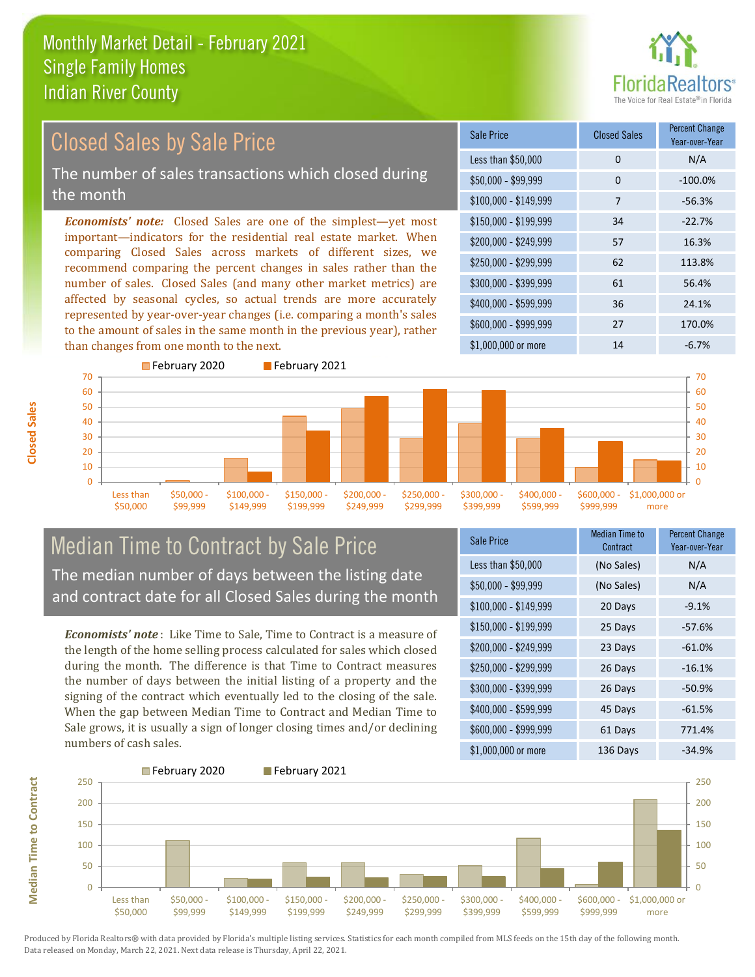

#### *Economists' note:* Closed Sales are one of the simplest—yet most important—indicators for the residential real estate market. When comparing Closed Sales across markets of different sizes, we recommend comparing the percent changes in sales rather than the number of sales. Closed Sales (and many other market metrics) are affected by seasonal cycles, so actual trends are more accurately represented by year-over-year changes (i.e. comparing a month's sales to the amount of sales in the same month in the previous year), rather than changes from one month to the next. \$1,000,000 or more 14  $-6.7\%$ \$250,000 - \$299,999 62 113.8% \$300,000 - \$399,999 61 56.4% \$400,000 - \$599,999 36 24.1% \$600,000 - \$999,999 27 170.0% \$150,000 - \$199,999 34 -22.7% \$200,000 - \$249,999 57 16.3% \$100,000 - \$149,999 7 -56.3% Sale Price Closed Sales Percent Change Year-over-Year Less than \$50,000 0 0 N/A  $$50.000 - $99.999$  0  $-100.0\%$ February 2020 February 2021 Closed Sales by Sale Price The number of sales transactions which closed during the month



### Median Time to Contract by Sale Price The median number of days between the listing date and contract date for all Closed Sales during the month

*Economists' note* : Like Time to Sale, Time to Contract is a measure of the length of the home selling process calculated for sales which closed during the month. The difference is that Time to Contract measures the number of days between the initial listing of a property and the signing of the contract which eventually led to the closing of the sale. When the gap between Median Time to Contract and Median Time to Sale grows, it is usually a sign of longer closing times and/or declining numbers of cash sales.

| Sale Price            | <b>Median Time to</b><br>Contract | <b>Percent Change</b><br>Year-over-Year |
|-----------------------|-----------------------------------|-----------------------------------------|
| Less than \$50,000    | (No Sales)                        | N/A                                     |
| $$50,000 - $99,999$   | (No Sales)                        | N/A                                     |
| $$100,000 - $149,999$ | 20 Days                           | $-9.1%$                                 |
| $$150,000 - $199,999$ | 25 Days                           | $-57.6%$                                |
| \$200,000 - \$249,999 | 23 Days                           | $-61.0%$                                |
| \$250,000 - \$299,999 | 26 Days                           | $-16.1%$                                |
| \$300,000 - \$399,999 | 26 Days                           | $-50.9%$                                |
| \$400,000 - \$599,999 | 45 Days                           | $-61.5%$                                |
| \$600,000 - \$999,999 | 61 Days                           | 771.4%                                  |
| \$1,000,000 or more   | 136 Days                          | -34.9%                                  |



Produced by Florida Realtors® with data provided by Florida's multiple listing services. Statistics for each month compiled from MLS feeds on the 15th day of the following month. Data released on Monday, March 22, 2021. Next data release is Thursday, April 22, 2021.

**Median Time to Contract**

**Median Time to Contract**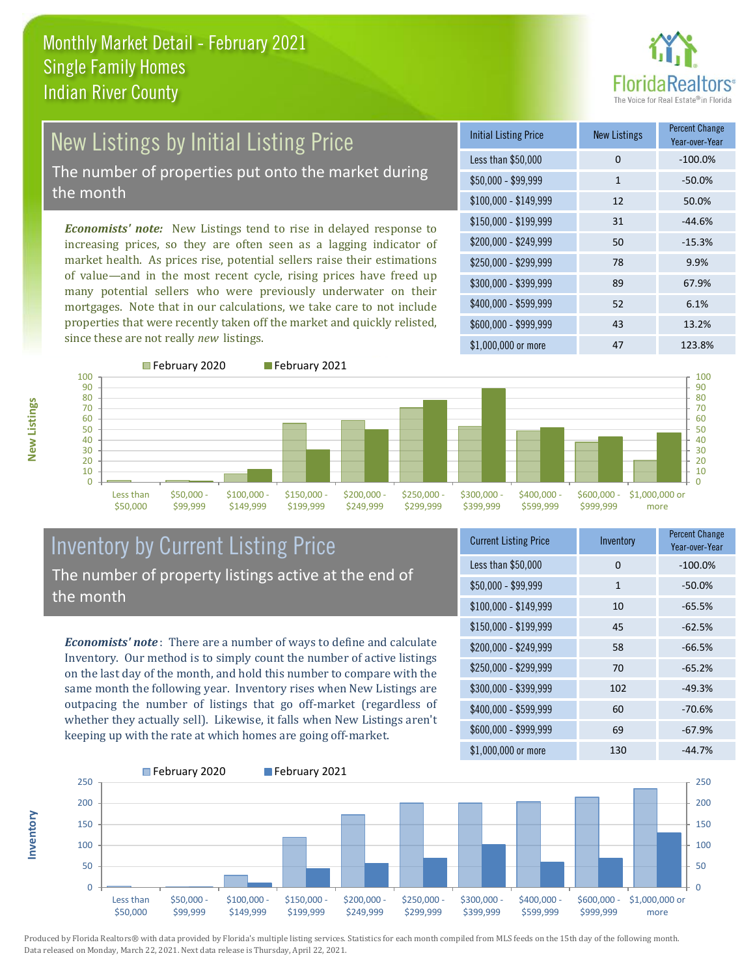

# New Listings by Initial Listing Price The number of properties put onto the market during

the month

*Economists' note:* New Listings tend to rise in delayed response to increasing prices, so they are often seen as a lagging indicator of market health. As prices rise, potential sellers raise their estimations of value—and in the most recent cycle, rising prices have freed up many potential sellers who were previously underwater on their mortgages. Note that in our calculations, we take care to not include properties that were recently taken off the market and quickly relisted, since these are not really *new* listings.

| <b>Initial Listing Price</b> | <b>New Listings</b> | <b>Percent Change</b><br>Year-over-Year |
|------------------------------|---------------------|-----------------------------------------|
| Less than \$50,000           | $\Omega$            | $-100.0%$                               |
| $$50,000 - $99,999$          | 1                   | $-50.0%$                                |
| $$100,000 - $149,999$        | 12                  | 50.0%                                   |
| $$150,000 - $199,999$        | 31                  | $-44.6%$                                |
| \$200,000 - \$249,999        | 50                  | $-15.3%$                                |
| \$250,000 - \$299,999        | 78                  | 9.9%                                    |
| \$300,000 - \$399,999        | 89                  | 67.9%                                   |
| \$400,000 - \$599,999        | 52                  | 6.1%                                    |
| \$600,000 - \$999,999        | 43                  | 13.2%                                   |
| \$1,000,000 or more          | 47                  | 123.8%                                  |



**Inventory**



#### Inventory by Current Listing Price The number of property listings active at the end of the month

*Economists' note* : There are a number of ways to define and calculate Inventory. Our method is to simply count the number of active listings on the last day of the month, and hold this number to compare with the same month the following year. Inventory rises when New Listings are outpacing the number of listings that go off-market (regardless of whether they actually sell). Likewise, it falls when New Listings aren't keeping up with the rate at which homes are going off-market.

| <b>Current Listing Price</b> | Inventory    | <b>Percent Change</b><br>Year-over-Year |
|------------------------------|--------------|-----------------------------------------|
| Less than \$50,000           | 0            | $-100.0%$                               |
| $$50,000 - $99,999$          | $\mathbf{1}$ | $-50.0%$                                |
| $$100,000 - $149,999$        | 10           | $-65.5%$                                |
| $$150,000 - $199,999$        | 45           | $-62.5%$                                |
| \$200,000 - \$249,999        | 58           | $-66.5%$                                |
| \$250,000 - \$299,999        | 70           | $-65.2%$                                |
| \$300,000 - \$399,999        | 102          | $-49.3%$                                |
| \$400,000 - \$599,999        | 60           | $-70.6%$                                |
| \$600,000 - \$999,999        | 69           | $-67.9%$                                |
| \$1,000,000 or more          | 130          | -44.7%                                  |